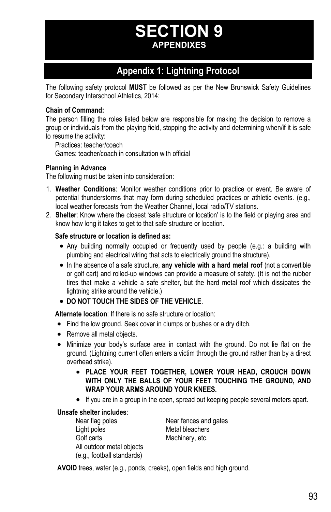# **SECTION 9 APPENDIXES**

# **Appendix 1: Lightning Protocol**

The following safety protocol **MUST** be followed as per the New Brunswick Safety Guidelines for Secondary Interschool Athletics, 2014:

### **Chain of Command:**

The person filling the roles listed below are responsible for making the decision to remove a group or individuals from the playing field, stopping the activity and determining when/if it is safe to resume the activity:

 Practices: teacher/coach Games: teacher/coach in consultation with official

### **Planning in Advance**

The following must be taken into consideration:

- 1. **Weather Conditions**: Monitor weather conditions prior to practice or event. Be aware of potential thunderstorms that may form during scheduled practices or athletic events. (e.g., local weather forecasts from the Weather Channel, local radio/TV stations.
- 2. **Shelter**: Know where the closest 'safe structure or location' is to the field or playing area and know how long it takes to get to that safe structure or location.

### **Safe structure or location is defined as:**

- Any building normally occupied or frequently used by people (e.g.: a building with plumbing and electrical wiring that acts to electrically ground the structure).
- In the absence of a safe structure, **any vehicle with a hard metal roof** (not a convertible or golf cart) and rolled-up windows can provide a measure of safety. (It is not the rubber tires that make a vehicle a safe shelter, but the hard metal roof which dissipates the lightning strike around the vehicle.)
- **DO NOT TOUCH THE SIDES OF THE VEHICLE**.

**Alternate location**: If there is no safe structure or location:

- Find the low ground. Seek cover in clumps or bushes or a dry ditch.
- Remove all metal objects.
- Minimize your body's surface area in contact with the ground. Do not lie flat on the ground. (Lightning current often enters a victim through the ground rather than by a direct overhead strike).
	- **PLACE YOUR FEET TOGETHER, LOWER YOUR HEAD, CROUCH DOWN WITH ONLY THE BALLS OF YOUR FEET TOUCHING THE GROUND, AND WRAP YOUR ARMS AROUND YOUR KNEES.**
	- If you are in a group in the open, spread out keeping people several meters apart.

### **Unsafe shelter includes**:

Near flag poles Near fences and gates Light poles Metal bleachers Golf carts Machinery, etc. All outdoor metal objects (e.g., football standards)

**AVOID** trees, water (e.g., ponds, creeks), open fields and high ground.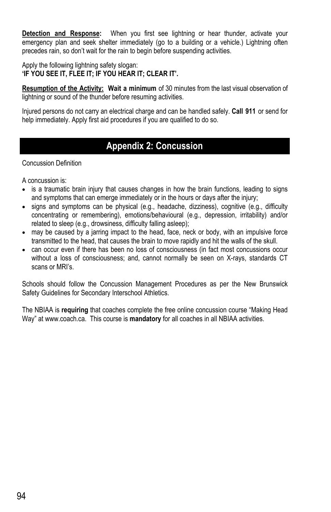**Detection and Response:** When you first see lightning or hear thunder, activate your emergency plan and seek shelter immediately (go to a building or a vehicle.) Lightning often precedes rain, so don't wait for the rain to begin before suspending activities.

Apply the following lightning safety slogan: **'IF YOU SEE IT, FLEE IT; IF YOU HEAR IT; CLEAR IT'.** 

**Resumption of the Activity: Wait a minimum** of 30 minutes from the last visual observation of lightning or sound of the thunder before resuming activities.

Injured persons do not carry an electrical charge and can be handled safely. **Call 911** or send for help immediately. Apply first aid procedures if you are qualified to do so.

# **Appendix 2: Concussion**

Concussion Definition

A concussion is:

- is a traumatic brain injury that causes changes in how the brain functions, leading to signs and symptoms that can emerge immediately or in the hours or days after the injury;
- signs and symptoms can be physical (e.g., headache, dizziness), cognitive (e.g., difficulty concentrating or remembering), emotions/behavioural (e.g., depression, irritability) and/or related to sleep (e.g., drowsiness, difficulty falling asleep);
- may be caused by a jarring impact to the head, face, neck or body, with an impulsive force transmitted to the head, that causes the brain to move rapidly and hit the walls of the skull.
- can occur even if there has been no loss of consciousness (in fact most concussions occur without a loss of consciousness; and, cannot normally be seen on X-rays, standards CT scans or MRI's.

Schools should follow the Concussion Management Procedures as per the New Brunswick Safety Guidelines for Secondary Interschool Athletics.

The NBIAA is **requiring** that coaches complete the free online concussion course "Making Head Way" at www.coach.ca. This course is **mandatory** for all coaches in all NBIAA activities.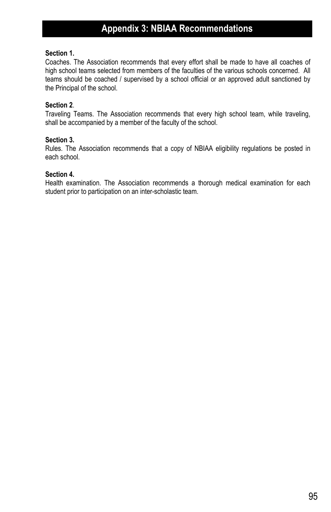### **Section 1.**

Coaches. The Association recommends that every effort shall be made to have all coaches of high school teams selected from members of the faculties of the various schools concerned. All teams should be coached / supervised by a school official or an approved adult sanctioned by the Principal of the school.

### **Section 2**.

Traveling Teams. The Association recommends that every high school team, while traveling, shall be accompanied by a member of the faculty of the school.

### **Section 3.**

Rules. The Association recommends that a copy of NBIAA eligibility regulations be posted in each school.

### **Section 4.**

Health examination. The Association recommends a thorough medical examination for each student prior to participation on an inter-scholastic team.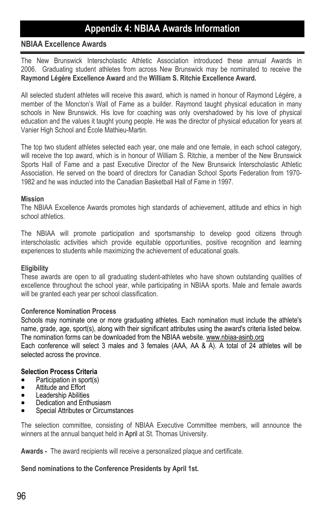# **Appendix 4: NBIAA Awards Information**

# **NBIAA Excellence Awards**

The New Brunswick Interscholastic Athletic Association introduced these annual Awards in 2006. Graduating student athletes from across New Brunswick may be nominated to receive the **Raymond Légère Excellence Award** and the **William S. Ritchie Excellence Award.** 

All selected student athletes will receive this award, which is named in honour of Raymond Légère, a member of the Moncton's Wall of Fame as a builder. Raymond taught physical education in many schools in New Brunswick. His love for coaching was only overshadowed by his love of physical education and the values it taught young people. He was the director of physical education for years at Vanier High School and École Mathieu-Martin.

The top two student athletes selected each year, one male and one female, in each school category, will receive the top award, which is in honour of William S. Ritchie, a member of the New Brunswick Sports Hall of Fame and a past Executive Director of the New Brunswick Interscholastic Athletic Association. He served on the board of directors for Canadian School Sports Federation from 1970- 1982 and he was inducted into the Canadian Basketball Hall of Fame in 1997.

### **Mission**

The NBIAA Excellence Awards promotes high standards of achievement, attitude and ethics in high school athletics.

The NBIAA will promote participation and sportsmanship to develop good citizens through interscholastic activities which provide equitable opportunities, positive recognition and learning experiences to students while maximizing the achievement of educational goals.

### **Eligibility**

These awards are open to all graduating student-athletes who have shown outstanding qualities of excellence throughout the school year, while participating in NBIAA sports. Male and female awards will be granted each year per school classification.

### **Conference Nomination Process**

Schools may nominate one or more graduating athletes. Each nomination must include the athlete's name, grade, age, sport(s), along with their significant attributes using the award's criteria listed below. The nomination forms can be downloaded from the NBIAA website. www.nbiaa-asinb.org Each conference will select 3 males and 3 females (AAA, AA & A). A total of 24 athletes will be selected across the province.

### **Selection Process Criteria**

- Participation in sport(s)
- Attitude and Effort
- **•** Leadership Abilities
- Dedication and Enthusiasm
- Special Attributes or Circumstances

The selection committee, consisting of NBIAA Executive Committee members, will announce the winners at the annual banquet held in April at St. Thomas University.

**Awards -** The award recipients will receive a personalized plaque and certificate.

### **Send nominations to the Conference Presidents by April 1st.**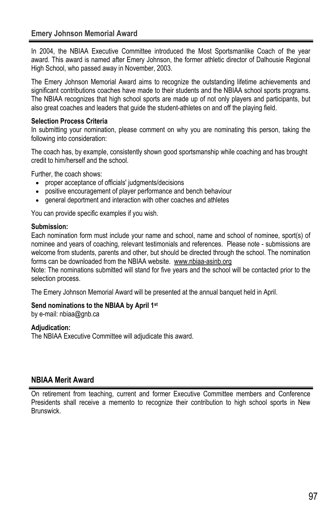In 2004, the NBIAA Executive Committee introduced the Most Sportsmanlike Coach of the year award. This award is named after Emery Johnson, the former athletic director of Dalhousie Regional High School, who passed away in November, 2003.

The Emery Johnson Memorial Award aims to recognize the outstanding lifetime achievements and significant contributions coaches have made to their students and the NBIAA school sports programs. The NBIAA recognizes that high school sports are made up of not only players and participants, but also great coaches and leaders that guide the student-athletes on and off the playing field.

# **Selection Process Criteria**

In submitting your nomination, please comment on why you are nominating this person, taking the following into consideration:

The coach has, by example, consistently shown good sportsmanship while coaching and has brought credit to him/herself and the school.

Further, the coach shows:

- proper acceptance of officials' judgments/decisions
- positive encouragement of player performance and bench behaviour
- general deportment and interaction with other coaches and athletes

You can provide specific examples if you wish.

## **Submission:**

Each nomination form must include your name and school, name and school of nominee, sport(s) of nominee and years of coaching, relevant testimonials and references. Please note - submissions are welcome from students, parents and other, but should be directed through the school. The nomination forms can be downloaded from the NBIAA website. www.nbiaa-asinb.org

Note: The nominations submitted will stand for five years and the school will be contacted prior to the selection process.

The Emery Johnson Memorial Award will be presented at the annual banquet held in April.

### **Send nominations to the NBIAA by April 1st**

by e-mail: nbiaa@gnb.ca

# **Adjudication:**

The NBIAA Executive Committee will adjudicate this award.

# **NBIAA Merit Award**

On retirement from teaching, current and former Executive Committee members and Conference Presidents shall receive a memento to recognize their contribution to high school sports in New Brunswick.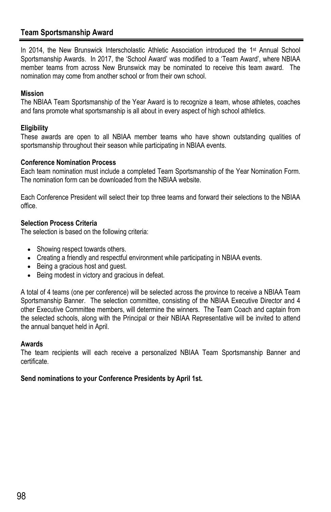# **Team Sportsmanship Award**

In 2014, the New Brunswick Interscholastic Athletic Association introduced the 1st Annual School Sportsmanship Awards. In 2017, the 'School Award' was modified to a 'Team Award', where NBIAA member teams from across New Brunswick may be nominated to receive this team award. The nomination may come from another school or from their own school.

### **Mission**

The NBIAA Team Sportsmanship of the Year Award is to recognize a team, whose athletes, coaches and fans promote what sportsmanship is all about in every aspect of high school athletics.

### **Eligibility**

These awards are open to all NBIAA member teams who have shown outstanding qualities of sportsmanship throughout their season while participating in NBIAA events.

### **Conference Nomination Process**

Each team nomination must include a completed Team Sportsmanship of the Year Nomination Form. The nomination form can be downloaded from the NBIAA website.

Each Conference President will select their top three teams and forward their selections to the NBIAA office.

### **Selection Process Criteria**

The selection is based on the following criteria:

- Showing respect towards others.
- Creating a friendly and respectful environment while participating in NBIAA events.
- Being a gracious host and quest.
- Being modest in victory and gracious in defeat.

A total of 4 teams (one per conference) will be selected across the province to receive a NBIAA Team Sportsmanship Banner. The selection committee, consisting of the NBIAA Executive Director and 4 other Executive Committee members, will determine the winners. The Team Coach and captain from the selected schools, along with the Principal or their NBIAA Representative will be invited to attend the annual banquet held in April.

### **Awards**

The team recipients will each receive a personalized NBIAA Team Sportsmanship Banner and certificate.

### **Send nominations to your Conference Presidents by April 1st.**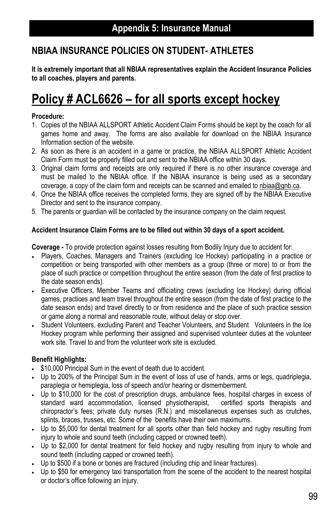# **NBIAA INSURANCE POLICIES ON STUDENT- ATHLETES**

**It is extremely important that all NBIAA representatives explain the Accident Insurance Policies to all coaches, players and parents.** 

# **Policy # ACL6626 – for all sports except hockey**

### **Procedure:**

- 1. Copies of the NBIAA ALLSPORT Athletic Accident Claim Forms should be kept by the coach for all games home and away. The forms are also available for download on the NBIAA Insurance Information section of the website.
- 2. As soon as there is an accident in a game or practice, the NBIAA ALLSPORT Athletic Accident Claim Form must be properly filled out and sent to the NBIAA office within 30 days.
- 3. Original claim forms and receipts are only required if there is no other insurance coverage and must be mailed to the NBIAA office. If the NBIAA insurance is being used as a secondary coverage, a copy of the claim form and receipts can be scanned and emailed to nbiaa@gnb.ca.
- 4. Once the NBIAA office receives the completed forms, they are signed off by the NBIAA Executive Director and sent to the insurance company.
- 5. The parents or guardian will be contacted by the insurance company on the claim request.

### **Accident Insurance Claim Forms are to be filled out within 30 days of a sport accident.**

**Coverage -** To provide protection against losses resulting from Bodily Injury due to accident for:

- Players, Coaches, Managers and Trainers (excluding Ice Hockey) participating in a practice or competition or being transported with other members as a group (three or more) to or from the place of such practice or competition throughout the entire season (from the date of first practice to the date season ends).
- Executive Officers, Member Teams and officiating crews (excluding Ice Hockey) during official games, practices and team travel throughout the entire season (from the date of first practice to the date season ends) and travel directly to or from residence and the place of such practice session or game along a normal and reasonable route, without delay or stop over.
- Student Volunteers, excluding Parent and Teacher Volunteers, and Student Volunteers in the Ice Hockey program while performing their assigned and supervised volunteer duties at the volunteer work site. Travel to and from the volunteer work site is excluded.

### **Benefit Highlights:**

- $\cdot$  \$10,000 Principal Sum in the event of death due to accident.
- Up to 200% of the Principal Sum in the event of loss of use of hands, arms or legs, quadriplegia, paraplegia or hemiplegia, loss of speech and/or hearing or dismemberment.
- Up to \$10,000 for the cost of prescription drugs, ambulance fees, hospital charges in excess of standard ward accommodation, licensed physiotherapist, certified sports therapists and chiropractor's fees; private duty nurses (R.N.) and miscellaneous expenses such as crutches, splints, braces, trusses, etc. Some of the benefits have their own maximums.
- Up to \$5,000 for dental treatment for all sports other than field hockey and rugby resulting from injury to whole and sound teeth (including capped or crowned teeth).
- Up to \$2,000 for dental treatment for field hockey and rugby resulting from injury to whole and sound teeth (including capped or crowned teeth).
- Up to \$500 if a bone or bones are fractured (including chip and linear fractures).
- Up to \$50 for emergency taxi transportation from the scene of the accident to the nearest hospital or doctor's office following an injury.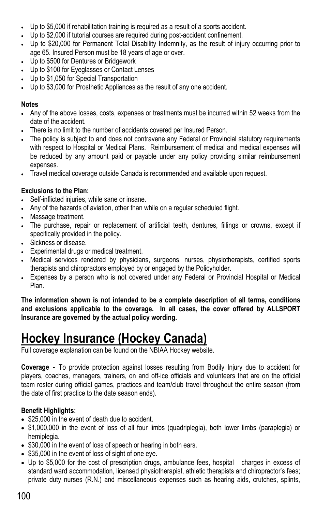- Up to \$5,000 if rehabilitation training is required as a result of a sports accident.
- Up to \$2,000 if tutorial courses are required during post-accident confinement.
- Up to \$20,000 for Permanent Total Disability Indemnity, as the result of injury occurring prior to age 65. Insured Person must be 18 years of age or over.
- Up to \$500 for Dentures or Bridgework
- Up to \$100 for Eyeglasses or Contact Lenses
- Up to \$1,050 for Special Transportation
- Up to \$3,000 for Prosthetic Appliances as the result of any one accident.

## **Notes**

- Any of the above losses, costs, expenses or treatments must be incurred within 52 weeks from the date of the accident.
- There is no limit to the number of accidents covered per Insured Person.
- The policy is subject to and does not contravene any Federal or Provincial statutory requirements with respect to Hospital or Medical Plans. Reimbursement of medical and medical expenses will be reduced by any amount paid or payable under any policy providing similar reimbursement expenses.
- Travel medical coverage outside Canada is recommended and available upon request.

# **Exclusions to the Plan:**

- Self-inflicted injuries, while sane or insane.
- Any of the hazards of aviation, other than while on a regular scheduled flight.
- Massage treatment.
- The purchase, repair or replacement of artificial teeth, dentures, fillings or crowns, except if specifically provided in the policy.
- Sickness or disease.
- Experimental drugs or medical treatment.
- Medical services rendered by physicians, surgeons, nurses, physiotherapists, certified sports therapists and chiropractors employed by or engaged by the Policyholder.
- Expenses by a person who is not covered under any Federal or Provincial Hospital or Medical Plan.

**The information shown is not intended to be a complete description of all terms, conditions and exclusions applicable to the coverage. In all cases, the cover offered by ALLSPORT Insurance are governed by the actual policy wording.** 

# **Hockey Insurance (Hockey Canada)**

Full coverage explanation can be found on the NBIAA Hockey website.

**Coverage -** To provide protection against losses resulting from Bodily Injury due to accident for players, coaches, managers, trainers, on and off-ice officials and volunteers that are on the official team roster during official games, practices and team/club travel throughout the entire season (from the date of first practice to the date season ends).

# **Benefit Highlights:**

- \$25,000 in the event of death due to accident.
- \$1,000,000 in the event of loss of all four limbs (quadriplegia), both lower limbs (paraplegia) or hemiplegia.
- \$30,000 in the event of loss of speech or hearing in both ears.
- \$35,000 in the event of loss of sight of one eye.
- Up to \$5,000 for the cost of prescription drugs, ambulance fees, hospital charges in excess of standard ward accommodation, licensed physiotherapist, athletic therapists and chiropractor's fees; private duty nurses (R.N.) and miscellaneous expenses such as hearing aids, crutches, splints,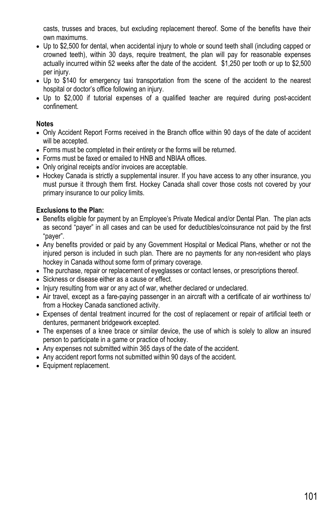casts, trusses and braces, but excluding replacement thereof. Some of the benefits have their own maximums.

- Up to \$2,500 for dental, when accidental injury to whole or sound teeth shall (including capped or crowned teeth), within 30 days, require treatment, the plan will pay for reasonable expenses actually incurred within 52 weeks after the date of the accident. \$1,250 per tooth or up to \$2,500 per injury.
- Up to \$140 for emergency taxi transportation from the scene of the accident to the nearest hospital or doctor's office following an injury.
- Up to \$2,000 if tutorial expenses of a qualified teacher are required during post-accident confinement.

### **Notes**

- Only Accident Report Forms received in the Branch office within 90 days of the date of accident will be accepted.
- Forms must be completed in their entirety or the forms will be returned.
- Forms must be faxed or emailed to HNB and NBIAA offices.
- Only original receipts and/or invoices are acceptable.
- Hockey Canada is strictly a supplemental insurer. If you have access to any other insurance, you must pursue it through them first. Hockey Canada shall cover those costs not covered by your primary insurance to our policy limits.

## **Exclusions to the Plan:**

- Benefits eligible for payment by an Employee's Private Medical and/or Dental Plan. The plan acts as second "payer" in all cases and can be used for deductibles/coinsurance not paid by the first "payer".
- Any benefits provided or paid by any Government Hospital or Medical Plans, whether or not the injured person is included in such plan. There are no payments for any non-resident who plays hockey in Canada without some form of primary coverage.
- The purchase, repair or replacement of eyeglasses or contact lenses, or prescriptions thereof.
- Sickness or disease either as a cause or effect.
- Injury resulting from war or any act of war, whether declared or undeclared.
- Air travel, except as a fare-paying passenger in an aircraft with a certificate of air worthiness to/ from a Hockey Canada sanctioned activity.
- Expenses of dental treatment incurred for the cost of replacement or repair of artificial teeth or dentures, permanent bridgework excepted.
- The expenses of a knee brace or similar device, the use of which is solely to allow an insured person to participate in a game or practice of hockey.
- Any expenses not submitted within 365 days of the date of the accident.
- Any accident report forms not submitted within 90 days of the accident.
- Equipment replacement.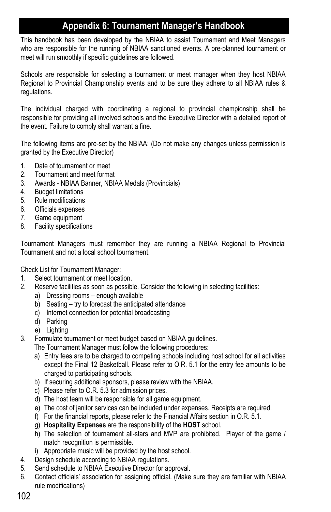# **Appendix 6: Tournament Manager's Handbook**

This handbook has been developed by the NBIAA to assist Tournament and Meet Managers who are responsible for the running of NBIAA sanctioned events. A pre-planned tournament or meet will run smoothly if specific guidelines are followed.

Schools are responsible for selecting a tournament or meet manager when they host NBIAA Regional to Provincial Championship events and to be sure they adhere to all NBIAA rules & regulations.

The individual charged with coordinating a regional to provincial championship shall be responsible for providing all involved schools and the Executive Director with a detailed report of the event. Failure to comply shall warrant a fine.

The following items are pre-set by the NBIAA: (Do not make any changes unless permission is granted by the Executive Director)

- 1. Date of tournament or meet
- 2. Tournament and meet format
- 3. Awards NBIAA Banner, NBIAA Medals (Provincials)
- 4. Budget limitations
- 5. Rule modifications
- 6. Officials expenses
- 7. Game equipment
- 8. Facility specifications

Tournament Managers must remember they are running a NBIAA Regional to Provincial Tournament and not a local school tournament.

Check List for Tournament Manager:

- 1. Select tournament or meet location.
- 2. Reserve facilities as soon as possible. Consider the following in selecting facilities:
	- a) Dressing rooms enough available
	- b) Seating try to forecast the anticipated attendance
	- c) Internet connection for potential broadcasting
	- d) Parking
	- e) Lighting
- 3. Formulate tournament or meet budget based on NBIAA guidelines.
	- The Tournament Manager must follow the following procedures:
		- a) Entry fees are to be charged to competing schools including host school for all activities except the Final 12 Basketball. Please refer to O.R. 5.1 for the entry fee amounts to be charged to participating schools.
		- b) If securing additional sponsors, please review with the NBIAA.
		- c) Please refer to O.R. 5.3 for admission prices.
		- d) The host team will be responsible for all game equipment.
		- e) The cost of janitor services can be included under expenses. Receipts are required.
		- f) For the financial reports, please refer to the Financial Affairs section in O.R. 5.1.
		- g) **Hospitality Expenses** are the responsibility of the **HOST** school.
		- h) The selection of tournament all-stars and MVP are prohibited. Player of the game / match recognition is permissible.
		- i) Appropriate music will be provided by the host school.
- 4. Design schedule according to NBIAA regulations.
- 5. Send schedule to NBIAA Executive Director for approval.
- 6. Contact officials' association for assigning official. (Make sure they are familiar with NBIAA rule modifications)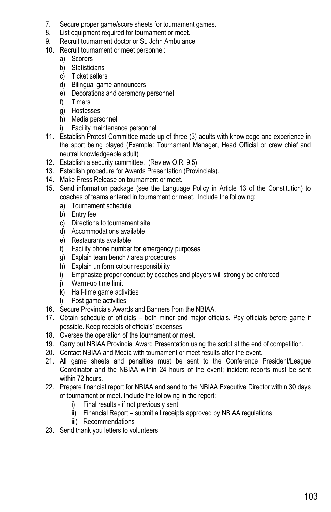- 7. Secure proper game/score sheets for tournament games.
- 8. List equipment required for tournament or meet.
- 9. Recruit tournament doctor or St. John Ambulance.
- 10. Recruit tournament or meet personnel:
	- a) Scorers
	- b) Statisticians
	- c) Ticket sellers
	- d) Bilingual game announcers
	- e) Decorations and ceremony personnel
	- f) Timers
	- g) Hostesses
	- h) Media personnel
	- i) Facility maintenance personnel
- 11. Establish Protest Committee made up of three (3) adults with knowledge and experience in the sport being played (Example: Tournament Manager, Head Official or crew chief and neutral knowledgeable adult)
- 12. Establish a security committee. (Review O.R. 9.5)
- 13. Establish procedure for Awards Presentation (Provincials).
- 14. Make Press Release on tournament or meet.
- 15. Send information package (see the Language Policy in Article 13 of the Constitution) to coaches of teams entered in tournament or meet. Include the following:
	- a) Tournament schedule
	- b) Entry fee
	- c) Directions to tournament site
	- d) Accommodations available
	- e) Restaurants available
	- f) Facility phone number for emergency purposes
	- g) Explain team bench / area procedures
	- h) Explain uniform colour responsibility
	- i) Emphasize proper conduct by coaches and players will strongly be enforced
	- j) Warm-up time limit
	- k) Half-time game activities
	- l) Post game activities
- 16. Secure Provincials Awards and Banners from the NBIAA.
- 17. Obtain schedule of officials both minor and major officials. Pay officials before game if possible. Keep receipts of officials' expenses.
- 18. Oversee the operation of the tournament or meet.
- 19. Carry out NBIAA Provincial Award Presentation using the script at the end of competition.
- 20. Contact NBIAA and Media with tournament or meet results after the event.
- 21. All game sheets and penalties must be sent to the Conference President/League Coordinator and the NBIAA within 24 hours of the event; incident reports must be sent within 72 hours.
- 22. Prepare financial report for NBIAA and send to the NBIAA Executive Director within 30 days of tournament or meet. Include the following in the report:
	- i) Final results if not previously sent
	- ii) Financial Report submit all receipts approved by NBIAA regulations
	- iii) Recommendations
- 23. Send thank you letters to volunteers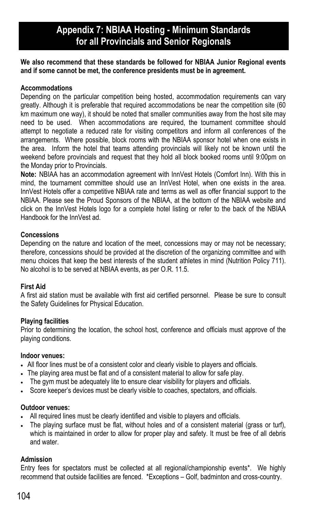# **Appendix 7: NBIAA Hosting - Minimum Standards for all Provincials and Senior Regionals**

**We also recommend that these standards be followed for NBIAA Junior Regional events and if some cannot be met, the conference presidents must be in agreement.** 

### **Accommodations**

Depending on the particular competition being hosted, accommodation requirements can vary greatly. Although it is preferable that required accommodations be near the competition site (60 km maximum one way), it should be noted that smaller communities away from the host site may need to be used. When accommodations are required, the tournament committee should attempt to negotiate a reduced rate for visiting competitors and inform all conferences of the arrangements. Where possible, block rooms with the NBIAA sponsor hotel when one exists in the area. Inform the hotel that teams attending provincials will likely not be known until the weekend before provincials and request that they hold all block booked rooms until 9:00pm on the Monday prior to Provincials.

**Note:** NBIAA has an accommodation agreement with InnVest Hotels (Comfort Inn). With this in mind, the tournament committee should use an InnVest Hotel, when one exists in the area. InnVest Hotels offer a competitive NBIAA rate and terms as well as offer financial support to the NBIAA. Please see the Proud Sponsors of the NBIAA, at the bottom of the NBIAA website and click on the InnVest Hotels logo for a complete hotel listing or refer to the back of the NBIAA Handbook for the InnVest ad.

### **Concessions**

Depending on the nature and location of the meet, concessions may or may not be necessary; therefore, concessions should be provided at the discretion of the organizing committee and with menu choices that keep the best interests of the student athletes in mind (Nutrition Policy 711). No alcohol is to be served at NBIAA events, as per O.R. 11.5.

### **First Aid**

A first aid station must be available with first aid certified personnel. Please be sure to consult the Safety Guidelines for Physical Education.

### **Playing facilities**

Prior to determining the location, the school host, conference and officials must approve of the playing conditions.

### **Indoor venues:**

- All floor lines must be of a consistent color and clearly visible to players and officials.
- The playing area must be flat and of a consistent material to allow for safe play.
- The gym must be adequately lite to ensure clear visibility for players and officials.
- Score keeper's devices must be clearly visible to coaches, spectators, and officials.

#### **Outdoor venues:**

- All required lines must be clearly identified and visible to players and officials.
- The playing surface must be flat, without holes and of a consistent material (grass or turf), which is maintained in order to allow for proper play and safety. It must be free of all debris and water.

### **Admission**

Entry fees for spectators must be collected at all regional/championship events\*. We highly recommend that outside facilities are fenced. \*Exceptions – Golf, badminton and cross-country.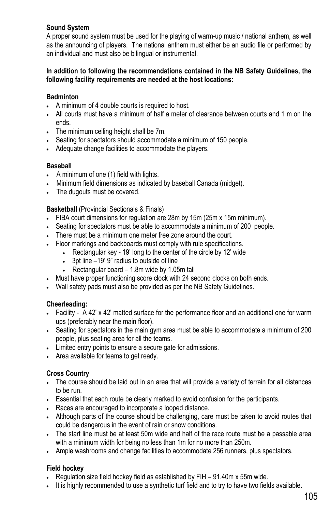## **Sound System**

A proper sound system must be used for the playing of warm-up music / national anthem, as well as the announcing of players. The national anthem must either be an audio file or performed by an individual and must also be bilingual or instrumental.

### **In addition to following the recommendations contained in the NB Safety Guidelines, the following facility requirements are needed at the host locations:**

### **Badminton**

- A minimum of 4 double courts is required to host.
- All courts must have a minimum of half a meter of clearance between courts and 1 m on the ends.
- The minimum ceiling height shall be 7m.
- Seating for spectators should accommodate a minimum of 150 people.
- Adequate change facilities to accommodate the players.

### **Baseball**

- A minimum of one (1) field with lights.
- Minimum field dimensions as indicated by baseball Canada (midget).
- The dugouts must be covered.

### **Basketball** (Provincial Sectionals & Finals)

- FIBA court dimensions for regulation are 28m by 15m (25m x 15m minimum).
- Seating for spectators must be able to accommodate a minimum of 200 people.
- There must be a minimum one meter free zone around the court.
- Floor markings and backboards must comply with rule specifications.
	- Rectangular key 19' long to the center of the circle by 12' wide
	- 3pt line –19' 9" radius to outside of line
	- Rectangular board  $-1.8$ m wide by 1.05m tall
- Must have proper functioning score clock with 24 second clocks on both ends.
- Wall safety pads must also be provided as per the NB Safety Guidelines.

### **Cheerleading:**

- Facility A 42' x 42' matted surface for the performance floor and an additional one for warm ups (preferably near the main floor).
- Seating for spectators in the main gym area must be able to accommodate a minimum of 200 people, plus seating area for all the teams.
- Limited entry points to ensure a secure gate for admissions.
- Area available for teams to get ready.

### **Cross Country**

- The course should be laid out in an area that will provide a variety of terrain for all distances to be run.
- Essential that each route be clearly marked to avoid confusion for the participants.
- Races are encouraged to incorporate a looped distance.
- Although parts of the course should be challenging, care must be taken to avoid routes that could be dangerous in the event of rain or snow conditions.
- The start line must be at least 50m wide and half of the race route must be a passable area with a minimum width for being no less than 1m for no more than 250m.
- Ample washrooms and change facilities to accommodate 256 runners, plus spectators.

### **Field hockey**

- Regulation size field hockey field as established by FIH 91.40m x 55m wide.
- . It is highly recommended to use a synthetic turf field and to try to have two fields available.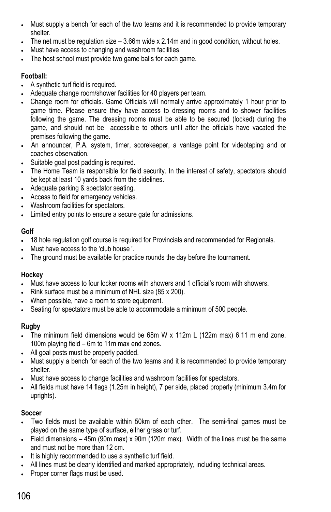- Must supply a bench for each of the two teams and it is recommended to provide temporary shelter.
- The net must be regulation size  $-3.66$ m wide x  $2.14$ m and in good condition, without holes.
- Must have access to changing and washroom facilities.
- The host school must provide two game balls for each game.

## **Football:**

- A synthetic turf field is required.
- Adequate change room/shower facilities for 40 players per team.
- Change room for officials. Game Officials will normally arrive approximately 1 hour prior to game time. Please ensure they have access to dressing rooms and to shower facilities following the game. The dressing rooms must be able to be secured (locked) during the game, and should not be accessible to others until after the officials have vacated the premises following the game.
- An announcer, P.A. system, timer, scorekeeper, a vantage point for videotaping and or coaches observation.
- Suitable goal post padding is required.
- The Home Team is responsible for field security. In the interest of safety, spectators should be kept at least 10 yards back from the sidelines.
- Adequate parking & spectator seating.
- Access to field for emergency vehicles.
- Washroom facilities for spectators.
- Limited entry points to ensure a secure gate for admissions.

## **Golf**

- 18 hole regulation golf course is required for Provincials and recommended for Regionals.
- Must have access to the 'club house '.
- The ground must be available for practice rounds the day before the tournament.

### **Hockey**

- Must have access to four locker rooms with showers and 1 official's room with showers.
- Rink surface must be a minimum of NHL size (85 x 200).
- When possible, have a room to store equipment.
- Seating for spectators must be able to accommodate a minimum of 500 people.

# **Rugby**

- The minimum field dimensions would be 68m W x 112m L (122m max) 6.11 m end zone. 100m playing field – 6m to 11m max end zones.
- All goal posts must be properly padded.
- Must supply a bench for each of the two teams and it is recommended to provide temporary shelter.
- Must have access to change facilities and washroom facilities for spectators.
- All fields must have 14 flags (1.25m in height), 7 per side, placed properly (minimum 3.4m for uprights).

# **Soccer**

- Two fields must be available within 50km of each other. The semi-final games must be played on the same type of surface, either grass or turf.
- Field dimensions 45m (90m max) x 90m (120m max). Width of the lines must be the same and must not be more than 12 cm.
- It is highly recommended to use a synthetic turf field.
- All lines must be clearly identified and marked appropriately, including technical areas.
- Proper corner flags must be used.